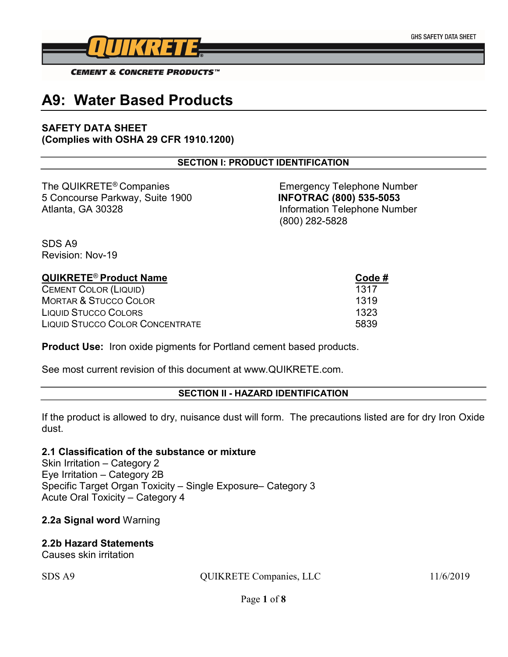

# A9: Water Based Products

## SAFETY DATA SHEET (Complies with OSHA 29 CFR 1910.1200)

#### SECTION I: PRODUCT IDENTIFICATION

The QUIKRETE<sup>®</sup> Companies Emergency Telephone Number 5 Concourse Parkway, Suite 1900 INFOTRAC (800) 535-5053 Atlanta, GA 30328 Information Telephone Number

(800) 282-5828

SDS A9 Revision: Nov-19

# QUIKRETE<sup>®</sup> Product Name **Code #** Code # CEMENT COLOR (LIQUID) 1317 MORTAR & STUCCO COLOR **1319** LIQUID STUCCO COLORS 1323 LIQUID STUCCO COLOR CONCENTRATE 5839

**Product Use:** Iron oxide pigments for Portland cement based products.

See most current revision of this document at www.QUIKRETE.com.

#### SECTION II - HAZARD IDENTIFICATION

If the product is allowed to dry, nuisance dust will form. The precautions listed are for dry Iron Oxide dust.

#### 2.1 Classification of the substance or mixture

Skin Irritation – Category 2 Eye Irritation – Category 2B Specific Target Organ Toxicity – Single Exposure– Category 3 Acute Oral Toxicity – Category 4

## 2.2a Signal word Warning

#### 2.2b Hazard Statements

Causes skin irritation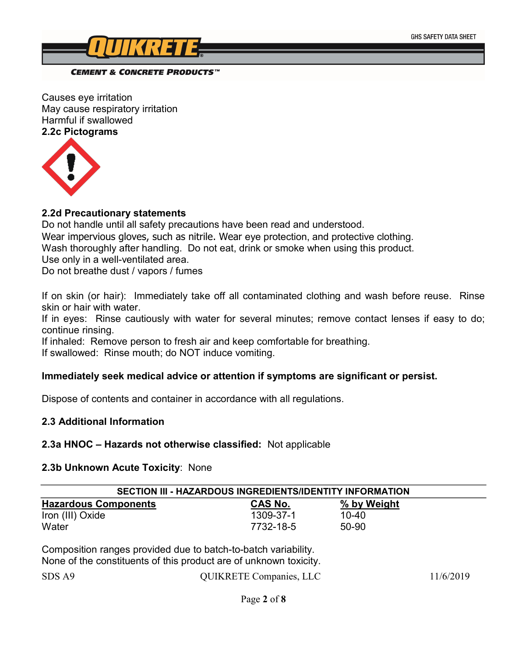

#### **CEMENT & CONCRETE PRODUCTS™**

Causes eye irritation May cause respiratory irritation Harmful if swallowed 2.2c Pictograms



#### 2.2d Precautionary statements

Do not handle until all safety precautions have been read and understood. Wear impervious gloves, such as nitrile. Wear eye protection, and protective clothing. Wash thoroughly after handling. Do not eat, drink or smoke when using this product. Use only in a well-ventilated area.

Do not breathe dust / vapors / fumes

If on skin (or hair): Immediately take off all contaminated clothing and wash before reuse. Rinse skin or hair with water.

If in eyes: Rinse cautiously with water for several minutes; remove contact lenses if easy to do; continue rinsing.

If inhaled: Remove person to fresh air and keep comfortable for breathing. If swallowed: Rinse mouth; do NOT induce vomiting.

## Immediately seek medical advice or attention if symptoms are significant or persist.

Dispose of contents and container in accordance with all regulations.

## 2.3 Additional Information

#### 2.3a HNOC – Hazards not otherwise classified: Not applicable

#### 2.3b Unknown Acute Toxicity: None

| SECTION III - HAZARDOUS INGREDIENTS/IDENTITY INFORMATION       |                |             |  |
|----------------------------------------------------------------|----------------|-------------|--|
| <b>Hazardous Components</b>                                    | <b>CAS No.</b> | % by Weight |  |
| Iron (III) Oxide                                               | 1309-37-1      | 10-40       |  |
| Water                                                          | 7732-18-5      | 50-90       |  |
| Composition ranges provided due to batch-to-batch variability. |                |             |  |

None of the constituents of this product are of unknown toxicity.

| 11/6/2019 |
|-----------|
|           |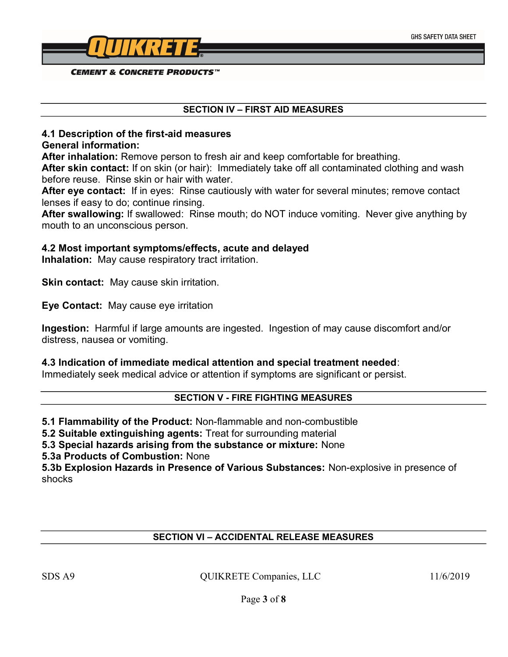

**CEMENT & CONCRETE PRODUCTS™** 

#### SECTION IV – FIRST AID MEASURES

# 4.1 Description of the first-aid measures

#### General information:

After inhalation: Remove person to fresh air and keep comfortable for breathing.

After skin contact: If on skin (or hair): Immediately take off all contaminated clothing and wash before reuse. Rinse skin or hair with water.

After eye contact: If in eyes: Rinse cautiously with water for several minutes; remove contact lenses if easy to do; continue rinsing.

After swallowing: If swallowed: Rinse mouth; do NOT induce vomiting. Never give anything by mouth to an unconscious person.

## 4.2 Most important symptoms/effects, acute and delayed

Inhalation: May cause respiratory tract irritation.

**Skin contact:** May cause skin irritation.

Eye Contact: May cause eye irritation

Ingestion: Harmful if large amounts are ingested. Ingestion of may cause discomfort and/or distress, nausea or vomiting.

#### 4.3 Indication of immediate medical attention and special treatment needed:

Immediately seek medical advice or attention if symptoms are significant or persist.

#### SECTION V - FIRE FIGHTING MEASURES

5.1 Flammability of the Product: Non-flammable and non-combustible

5.2 Suitable extinguishing agents: Treat for surrounding material

5.3 Special hazards arising from the substance or mixture: None

5.3a Products of Combustion: None

5.3b Explosion Hazards in Presence of Various Substances: Non-explosive in presence of shocks

## SECTION VI – ACCIDENTAL RELEASE MEASURES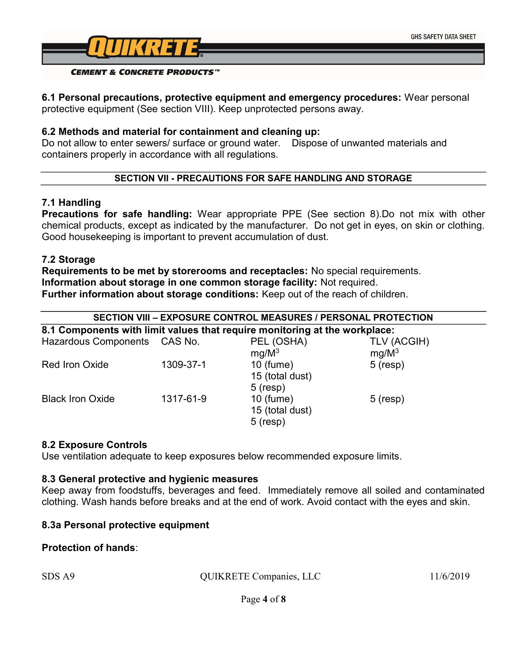

#### 6.1 Personal precautions, protective equipment and emergency procedures: Wear personal protective equipment (See section VIII). Keep unprotected persons away.

## 6.2 Methods and material for containment and cleaning up:

Do not allow to enter sewers/ surface or ground water. Dispose of unwanted materials and containers properly in accordance with all regulations.

## SECTION VII - PRECAUTIONS FOR SAFE HANDLING AND STORAGE

## 7.1 Handling

Precautions for safe handling: Wear appropriate PPE (See section 8).Do not mix with other chemical products, except as indicated by the manufacturer. Do not get in eyes, on skin or clothing. Good housekeeping is important to prevent accumulation of dust.

## 7.2 Storage

Requirements to be met by storerooms and receptacles: No special requirements. Information about storage in one common storage facility: Not required. Further information about storage conditions: Keep out of the reach of children.

|                                                                            |           | SECTION VIII - EXPOSURE CONTROL MEASURES / PERSONAL PROTECTION |                         |
|----------------------------------------------------------------------------|-----------|----------------------------------------------------------------|-------------------------|
| 8.1 Components with limit values that require monitoring at the workplace: |           |                                                                |                         |
| Hazardous Components CAS No.                                               |           | PEL (OSHA)<br>$mg/M^3$                                         | TLV (ACGIH)<br>$mg/M^3$ |
| Red Iron Oxide                                                             | 1309-37-1 | $10$ (fume)<br>15 (total dust)<br>$5$ (resp)                   | $5$ (resp)              |

## 8.2 Exposure Controls

Use ventilation adequate to keep exposures below recommended exposure limits.

Black Iron Oxide 1317-61-9 10 (fume) 5 (resp)

#### 8.3 General protective and hygienic measures

Keep away from foodstuffs, beverages and feed. Immediately remove all soiled and contaminated clothing. Wash hands before breaks and at the end of work. Avoid contact with the eyes and skin.

15 (total dust)

5 (resp)

## 8.3a Personal protective equipment

## Protection of hands:

| SDS A9 | QUIKRETE Companies, LLC | 11/6/2019 |
|--------|-------------------------|-----------|
|        |                         |           |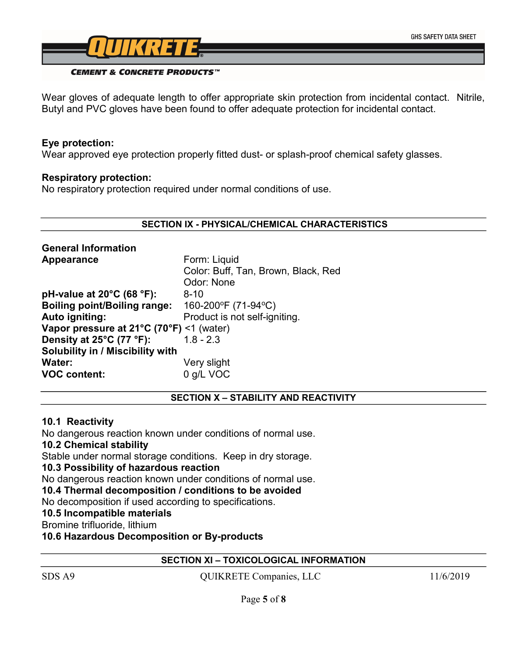

#### **CEMENT & CONCRETE PRODUCTS™**

Wear gloves of adequate length to offer appropriate skin protection from incidental contact. Nitrile, Butyl and PVC gloves have been found to offer adequate protection for incidental contact.

## Eye protection:

Wear approved eye protection properly fitted dust- or splash-proof chemical safety glasses.

#### Respiratory protection:

No respiratory protection required under normal conditions of use.

#### SECTION IX - PHYSICAL/CHEMICAL CHARACTERISTICS

| <b>General Information</b>                         |                                     |  |
|----------------------------------------------------|-------------------------------------|--|
| Appearance                                         | Form: Liquid                        |  |
|                                                    | Color: Buff, Tan, Brown, Black, Red |  |
|                                                    | Odor: None                          |  |
| pH-value at 20°C (68 °F):                          | $8 - 10$                            |  |
| <b>Boiling point/Boiling range:</b>                | 160-200°F (71-94°C)                 |  |
| Auto igniting:                                     | Product is not self-igniting.       |  |
| Vapor pressure at $21^{\circ}$ C (70°F) <1 (water) |                                     |  |
| Density at 25°C (77 °F):                           | $1.8 - 2.3$                         |  |
| <b>Solubility in / Miscibility with</b>            |                                     |  |
| <b>Water:</b>                                      | Very slight                         |  |
| <b>VOC content:</b>                                | 0 g/L VOC                           |  |

#### SECTION X – STABILITY AND REACTIVITY

#### 10.1 Reactivity

No dangerous reaction known under conditions of normal use.

## 10.2 Chemical stability

Stable under normal storage conditions. Keep in dry storage.

## 10.3 Possibility of hazardous reaction

No dangerous reaction known under conditions of normal use.

10.4 Thermal decomposition / conditions to be avoided

No decomposition if used according to specifications.

## 10.5 Incompatible materials

Bromine trifluoride, lithium

10.6 Hazardous Decomposition or By-products

#### SECTION XI – TOXICOLOGICAL INFORMATION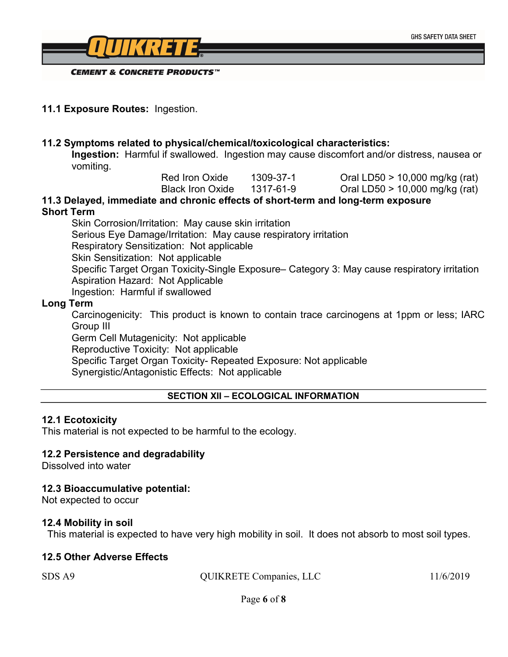

11.1 Exposure Routes: Ingestion.

#### 11.2 Symptoms related to physical/chemical/toxicological characteristics:

Ingestion: Harmful if swallowed. Ingestion may cause discomfort and/or distress, nausea or vomiting.

| Red Iron Oxide   | 1309-37-1 |
|------------------|-----------|
| Black Iron Oxide | 1317-61-9 |

 $Oral LDS0 > 10,000 mg/kg (rat)$ 

Oral LD50  $>$  10,000 mg/kg (rat)

#### 11.3 Delayed, immediate and chronic effects of short-term and long-term exposure Short Term

Skin Corrosion/Irritation: May cause skin irritation Serious Eye Damage/Irritation: May cause respiratory irritation Respiratory Sensitization: Not applicable Skin Sensitization: Not applicable Specific Target Organ Toxicity-Single Exposure– Category 3: May cause respiratory irritation Aspiration Hazard: Not Applicable Ingestion: Harmful if swallowed

#### Long Term

Carcinogenicity: This product is known to contain trace carcinogens at 1ppm or less; IARC Group III

Germ Cell Mutagenicity: Not applicable

Reproductive Toxicity: Not applicable

Specific Target Organ Toxicity- Repeated Exposure: Not applicable

Synergistic/Antagonistic Effects: Not applicable

#### SECTION XII – ECOLOGICAL INFORMATION

#### 12.1 Ecotoxicity

This material is not expected to be harmful to the ecology.

## 12.2 Persistence and degradability

Dissolved into water

#### 12.3 Bioaccumulative potential:

Not expected to occur

#### 12.4 Mobility in soil

This material is expected to have very high mobility in soil. It does not absorb to most soil types.

#### 12.5 Other Adverse Effects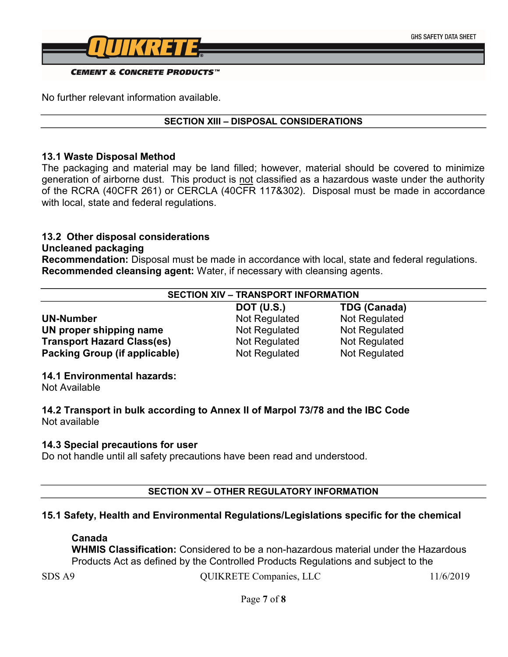

No further relevant information available.

#### SECTION XIII – DISPOSAL CONSIDERATIONS

#### 13.1 Waste Disposal Method

The packaging and material may be land filled; however, material should be covered to minimize generation of airborne dust. This product is not classified as a hazardous waste under the authority of the RCRA (40CFR 261) or CERCLA (40CFR 117&302). Disposal must be made in accordance with local, state and federal regulations.

# 13.2 Other disposal considerations

## Uncleaned packaging

Recommendation: Disposal must be made in accordance with local, state and federal regulations. Recommended cleansing agent: Water, if necessary with cleansing agents.

## SECTION XIV – TRANSPORT INFORMATION

UN-Number Not Regulated Not Regulated Not Regulated UN proper shipping name Not Regulated Not Regulated **Transport Hazard Class(es)** Not Regulated Not Regulated **Packing Group (if applicable)** Not Regulated Not Regulated

DOT (U.S.) TDG (Canada)

## 14.1 Environmental hazards:

Not Available

14.2 Transport in bulk according to Annex II of Marpol 73/78 and the IBC Code Not available

#### 14.3 Special precautions for user

Do not handle until all safety precautions have been read and understood.

## SECTION XV – OTHER REGULATORY INFORMATION

## 15.1 Safety, Health and Environmental Regulations/Legislations specific for the chemical

#### Canada

WHMIS Classification: Considered to be a non-hazardous material under the Hazardous Products Act as defined by the Controlled Products Regulations and subject to the